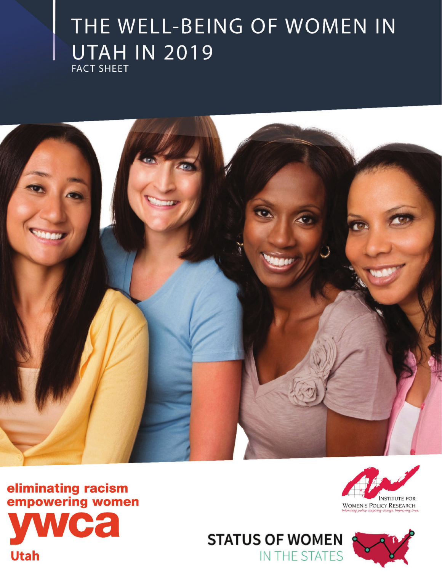# THE WELL-BEING OF WOMEN IN **UTAH IN 2019 FACT SHEET**



eliminating racism<br>empowering women a

**Utah** 





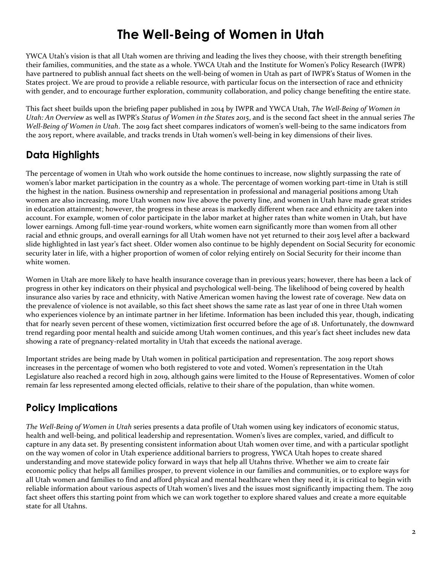# **The Well-Being of Women in Utah**

YWCA Utah's vision is that all Utah women are thriving and leading the lives they choose, with their strength benefiting their families, communities, and the state as a whole. YWCA Utah and the Institute for Women's Policy Research (IWPR) have partnered to publish annual fact sheets on the well-being of women in Utah as part of IWPR's Status of Women in the States project. We are proud to provide a reliable resource, with particular focus on the intersection of race and ethnicity with gender, and to encourage further exploration, community collaboration, and policy change benefiting the entire state.

This fact sheet builds upon the briefing paper published in 2014 by IWPR and YWCA Utah, *The Well-Being of Women in Utah: An Overview* as well as IWPR's *Status of Women in the States 2015*, and is the second fact sheet in the annual series *The Well-Being of Women in Utah*. The 2019 fact sheet compares indicators of women's well-being to the same indicators from the 2015 report, where available, and tracks trends in Utah women's well-being in key dimensions of their lives.

# **Data Highlights**

The percentage of women in Utah who work outside the home continues to increase, now slightly surpassing the rate of women's labor market participation in the country as a whole. The percentage of women working part-time in Utah is still the highest in the nation. Business ownership and representation in professional and managerial positions among Utah women are also increasing, more Utah women now live above the poverty line, and women in Utah have made great strides in education attainment; however, the progress in these areas is markedly different when race and ethnicity are taken into account. For example, women of color participate in the labor market at higher rates than white women in Utah, but have lower earnings. Among full-time year-round workers, white women earn significantly more than women from all other racial and ethnic groups, and overall earnings for all Utah women have not yet returned to their 2015 level after a backward slide highlighted in last year's fact sheet. Older women also continue to be highly dependent on Social Security for economic security later in life, with a higher proportion of women of color relying entirely on Social Security for their income than white women.

Women in Utah are more likely to have health insurance coverage than in previous years; however, there has been a lack of progress in other key indicators on their physical and psychological well-being. The likelihood of being covered by health insurance also varies by race and ethnicity, with Native American women having the lowest rate of coverage. New data on the prevalence of violence is not available, so this fact sheet shows the same rate as last year of one in three Utah women who experiences violence by an intimate partner in her lifetime. Information has been included this year, though, indicating that for nearly seven percent of these women, victimization first occurred before the age of 18. Unfortunately, the downward trend regarding poor mental health and suicide among Utah women continues, and this year's fact sheet includes new data showing a rate of pregnancy-related mortality in Utah that exceeds the national average.

Important strides are being made by Utah women in political participation and representation. The 2019 report shows increases in the percentage of women who both registered to vote and voted. Women's representation in the Utah Legislature also reached a record high in 2019, although gains were limited to the House of Representatives. Women of color remain far less represented among elected officials, relative to their share of the population, than white women.

## **Policy Implications**

*The Well-Being of Women in Utah* series presents a data profile of Utah women using key indicators of economic status, health and well-being, and political leadership and representation. Women's lives are complex, varied, and difficult to capture in any data set. By presenting consistent information about Utah women over time, and with a particular spotlight on the way women of color in Utah experience additional barriers to progress, YWCA Utah hopes to create shared understanding and move statewide policy forward in ways that help all Utahns thrive. Whether we aim to create fair economic policy that helps all families prosper, to prevent violence in our families and communities, or to explore ways for all Utah women and families to find and afford physical and mental healthcare when they need it, it is critical to begin with reliable information about various aspects of Utah women's lives and the issues most significantly impacting them. The 2019 fact sheet offers this starting point from which we can work together to explore shared values and create a more equitable state for all Utahns.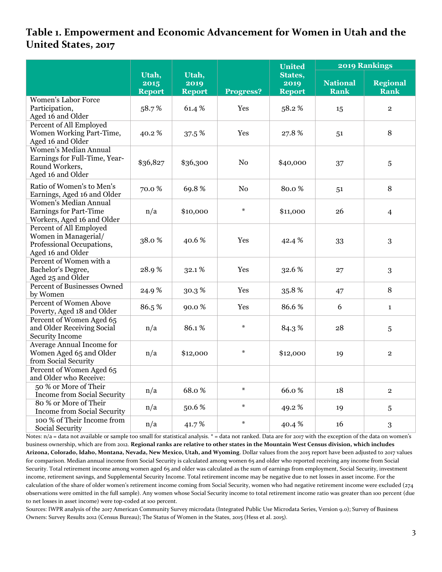#### **Table 1. Empowerment and Economic Advancement for Women in Utah and the United States, 2017**

|                                                                                                      |                                |                                |                  | United                           | <b>2019 Rankings</b>           |                                |  |
|------------------------------------------------------------------------------------------------------|--------------------------------|--------------------------------|------------------|----------------------------------|--------------------------------|--------------------------------|--|
|                                                                                                      | Utah,<br>2015<br><b>Report</b> | Utah,<br>2019<br><b>Report</b> | <b>Progress?</b> | States,<br>2019<br><b>Report</b> | <b>National</b><br><b>Rank</b> | <b>Regional</b><br><b>Rank</b> |  |
| <b>Women's Labor Force</b><br>Participation,<br>Aged 16 and Older                                    | 58.7%                          | 61.4%                          | Yes              | 58.2%                            | 15                             | $\overline{2}$                 |  |
| Percent of All Employed<br>Women Working Part-Time,<br>Aged 16 and Older                             | 40.2%                          | 37.5 %                         | Yes              | 27.8%                            | 51                             | $\, 8$                         |  |
| <b>Women's Median Annual</b><br>Earnings for Full-Time, Year-<br>Round Workers,<br>Aged 16 and Older | \$36,827                       | \$36,300                       | N <sub>o</sub>   | \$40,000                         | 37                             | 5                              |  |
| Ratio of Women's to Men's<br>Earnings, Aged 16 and Older                                             | 70.0%                          | 69.8%                          | N <sub>o</sub>   | 80.0%                            | 51                             | 8                              |  |
| <b>Women's Median Annual</b><br><b>Earnings for Part-Time</b><br>Workers, Aged 16 and Older          | n/a                            | \$10,000                       | $\ast$           | \$11,000                         | 26                             | $\overline{4}$                 |  |
| Percent of All Employed<br>Women in Managerial/<br>Professional Occupations,<br>Aged 16 and Older    | 38.0%                          | 40.6%                          | Yes              | 42.4 %                           | 33                             | 3                              |  |
| Percent of Women with a<br>Bachelor's Degree,<br>Aged 25 and Older                                   | 28.9%                          | 32.1%                          | Yes              | 32.6%                            | 27                             | 3                              |  |
| <b>Percent of Businesses Owned</b><br>by Women                                                       | 24.9%                          | 30.3%                          | Yes              | 35.8%                            | 47                             | 8                              |  |
| <b>Percent of Women Above</b><br>Poverty, Aged 18 and Older                                          | 86.5%                          | 90.0%                          | Yes              | 86.6%                            | 6                              | $\mathbf{1}$                   |  |
| Percent of Women Aged 65<br>and Older Receiving Social<br><b>Security Income</b>                     | n/a                            | 86.1%                          | $\ast$           | 84.3%                            | 28                             | 5                              |  |
| Average Annual Income for<br>Women Aged 65 and Older<br>from Social Security                         | n/a                            | \$12,000                       | $\ast$           | \$12,000                         | 19                             | $\mathbf{2}$                   |  |
| Percent of Women Aged 65<br>and Older who Receive:                                                   |                                |                                |                  |                                  |                                |                                |  |
| 50 % or More of Their<br>Income from Social Security                                                 | n/a                            | 68.0%                          | $\ast$           | 66.0%                            | 18                             | $\mathbf{2}$                   |  |
| 80 % or More of Their<br><b>Income from Social Security</b>                                          | n/a                            | 50.6%                          | $\ast$           | 49.2%                            | 19                             | 5                              |  |
| 100 % of Their Income from<br>Social Security                                                        | n/a                            | 41.7%                          | $\ast$           | 40.4%                            | 16                             | 3                              |  |

Notes:  $n/a$  = data not available or sample too small for statistical analysis. \* = data not ranked. Data are for 2017 with the exception of the data on women's business ownership, which are from 2012. **Regional ranks are relative to other states in the Mountain West Census division, which includes Arizona, Colorado, Idaho, Montana, Nevada, New Mexico, Utah, and Wyoming**. Dollar values from the 2015 report have been adjusted to 2017 values for comparison. Median annual income from Social Security is calculated among women 65 and older who reported receiving any income from Social Security. Total retirement income among women aged 65 and older was calculated as the sum of earnings from employment, Social Security, investment income, retirement savings, and Supplemental Security Income. Total retirement income may be negative due to net losses in asset income. For the calculation of the share of older women's retirement income coming from Social Security, women who had negative retirement income were excluded (274 observations were omitted in the full sample). Any women whose Social Security income to total retirement income ratio was greater than 100 percent (due to net losses in asset income) were top-coded at 100 percent.

Sources: IWPR analysis of the 2017 American Community Survey microdata (Integrated Public Use Microdata Series, Version 9.0); Survey of Business Owners: Survey Results 2012 (Census Bureau); The Status of Women in the States, 2015 (Hess et al. 2015).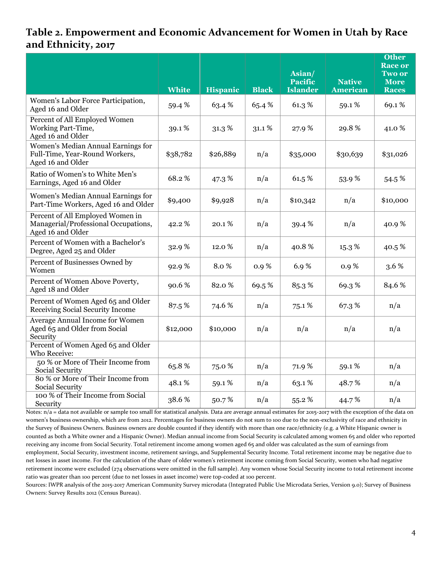#### **Table 2. Empowerment and Economic Advancement for Women in Utah by Race and Ethnicity, 2017**

|                                                                                               |              |                 |              | Asian/<br><b>Pacific</b> | <b>Native</b>   | <b>Other</b><br><b>Race or</b><br><b>Two or</b><br><b>More</b> |
|-----------------------------------------------------------------------------------------------|--------------|-----------------|--------------|--------------------------|-----------------|----------------------------------------------------------------|
|                                                                                               | <b>White</b> | <b>Hispanic</b> | <b>Black</b> | <b>Islander</b>          | <b>American</b> | <b>Races</b>                                                   |
| Women's Labor Force Participation,<br>Aged 16 and Older                                       | 59.4%        | 63.4%           | 65.4%        | 61.3%                    | 59.1%           | 69.1%                                                          |
| Percent of All Employed Women<br>Working Part-Time,<br>Aged 16 and Older                      | 39.1%        | 31.3%           | 31.1%        | 27.9%                    | 29.8%           | 41.0 %                                                         |
| Women's Median Annual Earnings for<br>Full-Time, Year-Round Workers,<br>Aged 16 and Older     | \$38,782     | \$26,889        | n/a          | \$35,000                 | \$30,639        | \$31,026                                                       |
| Ratio of Women's to White Men's<br>Earnings, Aged 16 and Older                                | 68.2%        | 47.3 %          | n/a          | 61.5%                    | 53.9%           | 54.5 %                                                         |
| Women's Median Annual Earnings for<br>Part-Time Workers, Aged 16 and Older                    | \$9,400      | \$9,928         | n/a          | \$10,342                 | n/a             | \$10,000                                                       |
| Percent of All Employed Women in<br>Managerial/Professional Occupations,<br>Aged 16 and Older | 42.2%        | 20.1%           | n/a          | 39.4 %                   | n/a             | 40.9%                                                          |
| Percent of Women with a Bachelor's<br>Degree, Aged 25 and Older                               | 32.9%        | 12.0%           | n/a          | 40.8%                    | 15.3%           | 40.5%                                                          |
| Percent of Businesses Owned by<br>Women                                                       | 92.9%        | 8.0%            | 0.9%         | 6.9%                     | 0.9%            | 3.6 %                                                          |
| Percent of Women Above Poverty,<br>Aged 18 and Older                                          | 90.6%        | 82.0%           | 69.5%        | 85.3%                    | 69.3%           | 84.6%                                                          |
| Percent of Women Aged 65 and Older<br>Receiving Social Security Income                        | 87.5%        | 74.6 %          | n/a          | 75.1%                    | 67.3%           | n/a                                                            |
| <b>Average Annual Income for Women</b><br>Aged 65 and Older from Social<br>Security           | \$12,000     | \$10,000        | n/a          | n/a                      | n/a             | n/a                                                            |
| Percent of Women Aged 65 and Older<br>Who Receive:                                            |              |                 |              |                          |                 |                                                                |
| 50 % or More of Their Income from<br>Social Security                                          | 65.8%        | 75.0%           | n/a          | 71.9%                    | 59.1%           | n/a                                                            |
| 80 % or More of Their Income from<br>Social Security                                          | 48.1%        | 59.1%           | n/a          | 63.1%                    | 48.7%           | n/a                                                            |
| 100 % of Their Income from Social<br>Security                                                 | 38.6%        | 50.7%           | n/a          | 55.2%                    | 44.7%           | n/a                                                            |

Notes:  $n/a$  = data not available or sample too small for statistical analysis. Data are average annual estimates for 2015-2017 with the exception of the data on women's business ownership, which are from 2012. Percentages for business owners do not sum to 100 due to the non-exclusivity of race and ethnicity in the Survey of Business Owners. Business owners are double counted if they identify with more than one race/ethnicity (e.g. a White Hispanic owner is counted as both a White owner and a Hispanic Owner). Median annual income from Social Security is calculated among women 65 and older who reported receiving any income from Social Security. Total retirement income among women aged 65 and older was calculated as the sum of earnings from employment, Social Security, investment income, retirement savings, and Supplemental Security Income. Total retirement income may be negative due to net losses in asset income. For the calculation of the share of older women's retirement income coming from Social Security, women who had negative retirement income were excluded (274 observations were omitted in the full sample). Any women whose Social Security income to total retirement income ratio was greater than 100 percent (due to net losses in asset income) were top-coded at 100 percent.

Sources: IWPR analysis of the 2015-2017 American Community Survey microdata (Integrated Public Use Microdata Series, Version 9.0); Survey of Business Owners: Survey Results 2012 (Census Bureau).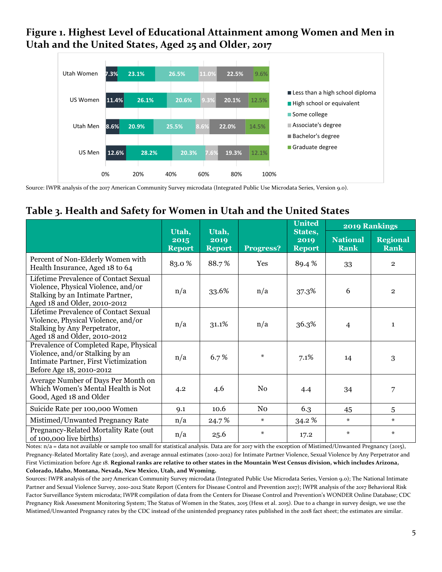#### **Figure 1. Highest Level of Educational Attainment among Women and Men in Utah and the United States, Aged 25 and Older, 2017**



Source: IWPR analysis of the 2017 American Community Survey microdata (Integrated Public Use Microdata Series, Version 9.0).

#### **Table 3. Health and Safety for Women in Utah and the United States**

|                                                                                                                                                  |                                |                                |                  | <b>United</b>                    |                                | <b>2019 Rankings</b>           |
|--------------------------------------------------------------------------------------------------------------------------------------------------|--------------------------------|--------------------------------|------------------|----------------------------------|--------------------------------|--------------------------------|
|                                                                                                                                                  | Utah,<br>2015<br><b>Report</b> | Utah,<br>2019<br><b>Report</b> | <b>Progress?</b> | States,<br>2019<br><b>Report</b> | <b>National</b><br><b>Rank</b> | <b>Regional</b><br><b>Rank</b> |
| Percent of Non-Elderly Women with<br>Health Insurance, Aged 18 to 64                                                                             | 83.0%                          | 88.7%                          | Yes              | 89.4 %                           | 33                             | $\overline{2}$                 |
| Lifetime Prevalence of Contact Sexual<br>Violence, Physical Violence, and/or<br>Stalking by an Intimate Partner,<br>Aged 18 and Older, 2010-2012 | n/a                            | 33.6%                          | n/a              | 37.3%                            | 6                              | $\overline{2}$                 |
| Lifetime Prevalence of Contact Sexual<br>Violence, Physical Violence, and/or<br>Stalking by Any Perpetrator,<br>Aged 18 and Older, 2010-2012     | n/a                            | 31.1%                          | n/a              | 36.3%                            | $\overline{4}$                 | $\mathbf{1}$                   |
| Prevalence of Completed Rape, Physical<br>Violence, and/or Stalking by an<br>Intimate Partner, First Victimization<br>Before Age 18, 2010-2012   | n/a                            | 6.7%                           | $\ast$           | 7.1%                             | 14                             | 3                              |
| Average Number of Days Per Month on<br>Which Women's Mental Health is Not<br>Good, Aged 18 and Older                                             | 4.2                            | 4.6                            | No               | 4.4                              | 34                             | 7                              |
| Suicide Rate per 100,000 Women                                                                                                                   | 9.1                            | 10.6                           | N <sub>0</sub>   | 6.3                              | 45                             | 5                              |
| Mistimed/Unwanted Pregnancy Rate                                                                                                                 | n/a                            | 24.7%                          | $\star$          | 34.2%                            | $\ast$                         | $\star$                        |
| Pregnancy-Related Mortality Rate (out<br>of 100,000 live births)                                                                                 | n/a                            | 25.6                           | $\ast$           | 17.2                             | $\ast$                         | $\ast$                         |

Notes: n/a = data not available or sample too small for statistical analysis. Data are for 2017 with the exception of Mistimed/Unwanted Pregnancy (2015), Pregnancy-Related Mortality Rate (2015), and average annual estimates (2010-2012) for Intimate Partner Violence, Sexual Violence by Any Perpetrator and First Victimization before Age 18. **Regional ranks are relative to other states in the Mountain West Census division, which includes Arizona, Colorado, Idaho, Montana, Nevada, New Mexico, Utah, and Wyoming.**

Sources: IWPR analysis of the 2017 American Community Survey microdata (Integrated Public Use Microdata Series, Version 9.0); The National Intimate Partner and Sexual Violence Survey, 2010-2012 State Report (Centers for Disease Control and Prevention 2017); IWPR analysis of the 2017 Behavioral Risk Factor Surveillance System microdata; IWPR compilation of data from the Centers for Disease Control and Prevention's WONDER Online Database; CDC Pregnancy Risk Assessment Monitoring System; The Status of Women in the States, 2015 (Hess et al. 2015). Due to a change in survey design, we use the Mistimed/Unwanted Pregnancy rates by the CDC instead of the unintended pregnancy rates published in the 2018 fact sheet; the estimates are similar.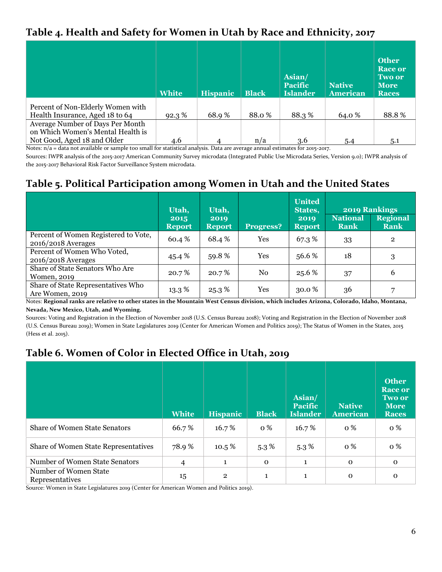#### **Table 4. Health and Safety for Women in Utah by Race and Ethnicity, 2017**

|                                   | <b>White</b> | <b>Hispanic</b> | <b>Black</b> | Asian/<br><b>Pacific</b><br><b>Islander</b> | <b>Native</b><br>American | <b>Other</b><br><b>Race or</b><br><b>Two or</b><br><b>More</b><br><b>Races</b> |
|-----------------------------------|--------------|-----------------|--------------|---------------------------------------------|---------------------------|--------------------------------------------------------------------------------|
| Percent of Non-Elderly Women with |              |                 |              |                                             |                           |                                                                                |
| Health Insurance, Aged 18 to 64   | 92.3%        | 68.9%           | 88.0%        | 88.3%                                       | 64.0 %                    | 88.8%                                                                          |
| Average Number of Days Per Month  |              |                 |              |                                             |                           |                                                                                |
| on Which Women's Mental Health is |              |                 |              |                                             |                           |                                                                                |
| Not Good, Aged 18 and Older       | 4.6          | 4               | n/a          | 3.6                                         | 5.4                       | 5.1                                                                            |

Notes:  $n/a =$  data not available or sample too small for statistical analysis. Data are average annual estimates for 2015-2017.

Sources: IWPR analysis of the 2015-2017 American Community Survey microdata (Integrated Public Use Microdata Series, Version 9.0); IWPR analysis of the 2015-2017 Behavioral Risk Factor Surveillance System microdata.

#### **Table 5. Political Participation among Women in Utah and the United States**

|                                                              | Utah,                 | Utah,                 |            | <b>United</b><br>States, |                                | <b>2019 Rankings</b>    |
|--------------------------------------------------------------|-----------------------|-----------------------|------------|--------------------------|--------------------------------|-------------------------|
|                                                              | 2015<br><b>Report</b> | 2019<br><b>Report</b> | Progress?  | 2019<br><b>Report</b>    | <b>National</b><br><b>Rank</b> | <b>Regional</b><br>Rank |
| Percent of Women Registered to Vote,<br>$2016/2018$ Averages | 60.4 %                | 68.4 %                | <b>Yes</b> | 67.3 %                   | 33                             | $\overline{2}$          |
| Percent of Women Who Voted,<br>$2016/2018$ Averages          | 45.4 %                | 59.8%                 | Yes        | 56.6 %                   | 18                             | 3                       |
| Share of State Senators Who Are<br>Women, 2019               | 20.7 %                | 20.7%                 | No         | 25.6 %                   | 37                             | 6                       |
| Share of State Representatives Who<br>Are Women, 2019        | $13.3\%$              | 25.3%                 | Yes        | $30.0\%$                 | 36                             |                         |

Notes: **Regional ranks are relative to other states in the Mountain West Census division, which includes Arizona, Colorado, Idaho, Montana, Nevada, New Mexico, Utah, and Wyoming.**

Sources: Voting and Registration in the Election of November 2018 (U.S. Census Bureau 2018); Voting and Registration in the Election of November 2018 (U.S. Census Bureau 2019); Women in State Legislatures 2019 (Center for American Women and Politics 2019); The Status of Women in the States, 2015 (Hess et al. 2015).

### **Table 6. Women of Color in Elected Office in Utah, 2019**

|                                             | <b>White</b> | <b>Hispanic</b> | <b>Black</b> | Asian/<br><b>Pacific</b><br><b>Islander</b> | <b>Native</b><br><b>American</b> | <b>Other</b><br><b>Race or</b><br>Two or<br><b>More</b><br><b>Races</b> |
|---------------------------------------------|--------------|-----------------|--------------|---------------------------------------------|----------------------------------|-------------------------------------------------------------------------|
| <b>Share of Women State Senators</b>        | 66.7%        | 16.7%           | <b>0</b> %   | 16.7%                                       | <b>0</b> %                       | o %                                                                     |
| <b>Share of Women State Representatives</b> | 78.9%        | $10.5\%$        | $5.3\%$      | $5.3\%$                                     | <b>0</b> %                       | <b>o</b> %                                                              |
| Number of Women State Senators              | 4            | $\mathbf{1}$    | $\Omega$     | $\mathbf{1}$                                | $\mathbf{O}$                     | $\Omega$                                                                |
| Number of Women State<br>Representatives    | 15           | $\overline{2}$  | 1            | $\mathbf{1}$                                | $\Omega$                         | $\mathbf 0$                                                             |

Source: Women in State Legislatures 2019 (Center for American Women and Politics 2019).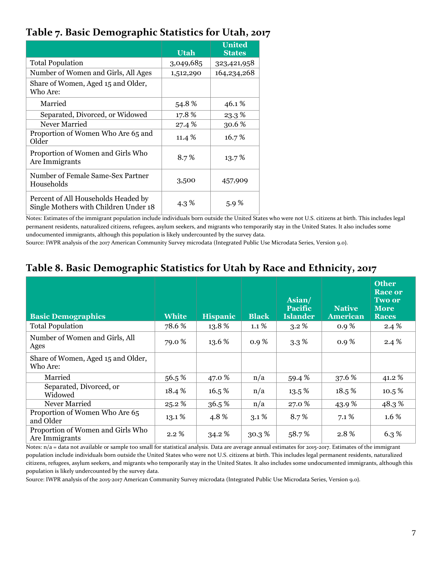#### **Table 7. Basic Demographic Statistics for Utah, 2017**

|                                                                              | Utah      | <b>United</b><br><b>States</b> |
|------------------------------------------------------------------------------|-----------|--------------------------------|
| <b>Total Population</b>                                                      | 3,049,685 | 323,421,958                    |
| Number of Women and Girls, All Ages                                          | 1,512,290 | 164,234,268                    |
| Share of Women, Aged 15 and Older,<br>Who Are:                               |           |                                |
| Married                                                                      | 54.8%     | 46.1%                          |
| Separated, Divorced, or Widowed                                              | 17.8%     | 23.3%                          |
| Never Married                                                                | 27.4 %    | 30.6%                          |
| Proportion of Women Who Are 65 and<br>Older                                  | 11.4 %    | 16.7%                          |
| Proportion of Women and Girls Who<br>Are Immigrants                          | 8.7%      | 13.7%                          |
| Number of Female Same-Sex Partner<br>Households                              | 3,500     | 457,909                        |
| Percent of All Households Headed by<br>Single Mothers with Children Under 18 | 4.3 %     | $5.9\%$                        |

Notes: Estimates of the immigrant population include individuals born outside the United States who were not U.S. citizens at birth. This includes legal permanent residents, naturalized citizens, refugees, asylum seekers, and migrants who temporarily stay in the United States. It also includes some undocumented immigrants, although this population is likely undercounted by the survey data.

Source: IWPR analysis of the 2017 American Community Survey microdata (Integrated Public Use Microdata Series, Version 9.0).

#### **Table 8. Basic Demographic Statistics for Utah by Race and Ethnicity, 2017**

| <b>Basic Demographics</b>                           | <b>White</b> | <b>Hispanic</b> | <b>Black</b> | Asian/<br><b>Pacific</b><br><b>Islander</b> | <b>Native</b><br><b>American</b> | <b>Other</b><br><b>Race or</b><br><b>Two or</b><br><b>More</b><br><b>Races</b> |
|-----------------------------------------------------|--------------|-----------------|--------------|---------------------------------------------|----------------------------------|--------------------------------------------------------------------------------|
| <b>Total Population</b>                             | 78.6%        | 13.8%           | $1.1\%$      | $3.2\%$                                     | $0.9\%$                          | 2.4%                                                                           |
| Number of Women and Girls, All<br>Ages              | 79.0 %       | 13.6 %          | $0.9\%$      | $3.3\%$                                     | $0.9\%$                          | 2.4%                                                                           |
| Share of Women, Aged 15 and Older,<br>Who Are:      |              |                 |              |                                             |                                  |                                                                                |
| Married                                             | 56.5%        | 47.0 %          | n/a          | 59.4%                                       | 37.6 %                           | 41.2%                                                                          |
| Separated, Divorced, or<br>Widowed                  | 18.4 %       | 16.5%           | n/a          | 13.5 %                                      | 18.5%                            | 10.5%                                                                          |
| Never Married                                       | 25.2%        | 36.5%           | n/a          | 27.0 %                                      | 43.9%                            | 48.3%                                                                          |
| Proportion of Women Who Are 65<br>and Older         | 13.1%        | 4.8%            | $3.1\%$      | 8.7%                                        | $7.1\%$                          | $1.6\%$                                                                        |
| Proportion of Women and Girls Who<br>Are Immigrants | $2.2\%$      | 34.2 %          | 30.3%        | 58.7%                                       | 2.8%                             | 6.3%                                                                           |

Notes:  $n/a$  = data not available or sample too small for statistical analysis. Data are average annual estimates for 2015-2017. Estimates of the immigrant population include individuals born outside the United States who were not U.S. citizens at birth. This includes legal permanent residents, naturalized citizens, refugees, asylum seekers, and migrants who temporarily stay in the United States. It also includes some undocumented immigrants, although this population is likely undercounted by the survey data.

Source: IWPR analysis of the 2015-2017 American Community Survey microdata (Integrated Public Use Microdata Series, Version 9.0).